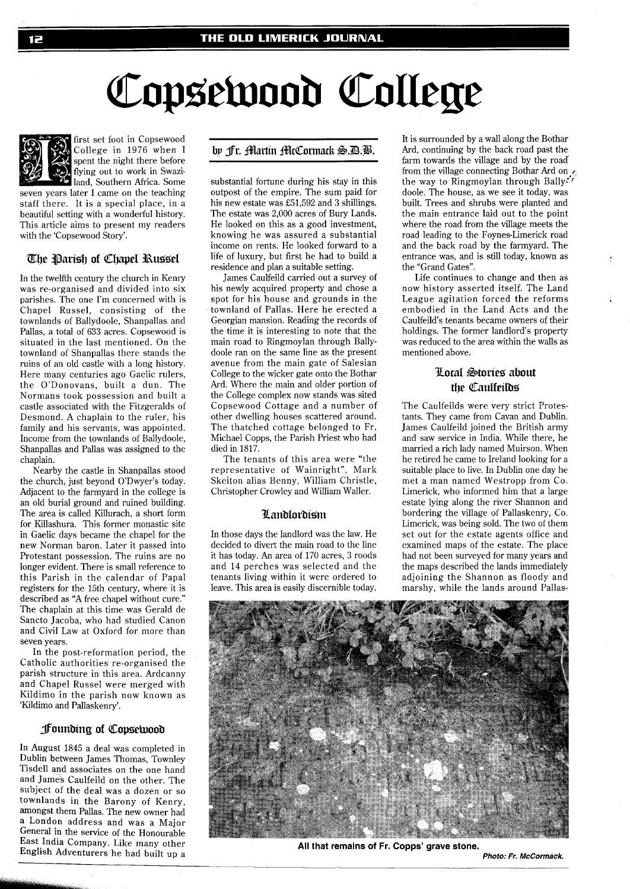# Copsewood College



first set foot in Copsewood College in 1976 when I spent the night there before flying out to work in Swazi-Jand, Southern Africa. Some

seven years later I came on the teaching staff there. It is a special place, in a beautiful setting with a wonderful history. This article aims to present my readers with the 'Copsewood Story'.

## The Parish of Chapel Russel

In the twelfth century the church in Kenry was re-organised and divided into six parishes. The one I'm concerned with is Chapel Russel, consisting of the townlands of Ballydoole, Shanpallas and Pallas, a total of 633 acres. Copsewood is situated in the last mentioned. On the townland of Shanpallas there stands the ruins of an old castle with a long history. Here many centuries ago Gaelic rulers, the O'Donovans, built a dun. The Normans took possession and built a castle associated with the Fitzgeralds of Desmond. A chaplain to the ruler, his family and his servants, was appointed. Income from the townlands of Ballydoole, Shanpallas and Pallas was assigned to the chaplain.

Nearby the castle in Shanpallas stood the church, just beyond O'Dwyer's today. Adjacent to the farmyard in the college is an old burial ground and ruined building. The area is called Killurach, a short form for Killashura. This former monastic site in Gaelic days became the chapel for the new Norman baron. Later it passed into Protestant possession. The ruins are no longer evident. There is small reference to this Parish in the calendar of Papal registers for the 15th century, where it is described as "A free chapel without cure." The chaplain at this time was Gerald de Sancto Jacoba, who had studied Canon and Civil Law at Oxford for more than seven years.

In the post-reformation period, the Catholic authorities re-organised the parish structure in this area. Ardcanny and Chapel Russel were merged with Kildimo in the parish now known as 'Kildimo and Pallaskenry'.

## **Pounding of Copsetyood**

In August 1845 a deal was completed in Dublin between James Thomas, Townley Tisdell and associates on the one hand and James Caulfeild on the other. The subject of the deal was a dozen or so townlands in the Barony of Kenry, amongst them Pallas. The new owner had a London address and was a Major General in the service of the Honourable East India Company. Like many other English Adventurers he had built up a

# by fr. Martin McCormack S.D.B.

substantial fortune during his stay in this outpost of the empire. The sum paid for his new estate was £51,592 and **3** shillings. The estate was 2,000 acres of Bury Lands. He looked on this as a good investment, knowing he was assured a substantial income on rents. He looked forward to a life of luxury, but first he had to build a residence and plan a suitable setting.

James Caulfeild carried out a survey of his newly acquired property and chose a spot for his house and grounds in the townland of Pallas. Here he erected a Georgian mansion. Reading the records of the time it is interesting to note that the main road to Ringmoylan through Ballydoole ran on the same line as the present avenue from the main gate of Salesian College to the wicker gate onto the Bothar Ard. Where the main and older portion of the College complex now stands was sited Copsewood Cottage and a number of other dwelling houses scattered around. The thatched cottage belonged to Fr. Michael Copps, the Parish Priest who had died in 1817.

The tenants of this area were "the representative of Wainright", Mark Skeiton alias Benny, William Christle, Christopher Crowley and William Waller.

## Landlordism

In those days the landlord was the law. He decided to divert the main road to the line it has today. An area of 170 acres, 3 roods and 14 perches was selected and the tenants living within it were ordered to leave. This area is easily discernible today.

It is surrounded by a wall along the Bothar Ard, continuing by the back road past the farm towards the village and by the road from the village connecting Bothar Ard on  $\epsilon$ the way to Ringmoylan through Bally?' doole. The house, as we see it today, was built. Trees and shrubs were planted and the main entrance laid out to the point where the road from the village meets the road leading to the Foynes-Limerick road and the back road by the farmyard. The entrance was, and is still today, known as the "Grand Gates".

Life continues to change and then as now history asserted itself. The Land League agitation forced the reforms embodied in the Land Acts and the Caulfeild's tenants became owners of their holdings. The former landlord's property was reduced to the area within the walls as mentioned above.

# Lotal Stories about the Caulfeilos

The Caulfeilds were very strict Protestants. They came from Cavan and Dublin. James Caulfeild joined the British army and saw service in India. While there, he married a rich lady named Muirson. When he retired he came to Ireland looking for a suitable place to live. In Dublin one day he met a man named Westropp from Co. Limerick, who informed him that a large estate lying along the river Shannon and bordering the village of Pallaskenry, Co. Limerick, was being sold. The two of them set out for the estate agents office and examined maps of the estate. The place had not been surveyed for many years and the maps described the lands immediately adjoining the Shannon as floody and marshy, while the lands around Pallas-



**All that remains of Fr. Copps' grave stone.** 

**Photo: Fr. McCormack.**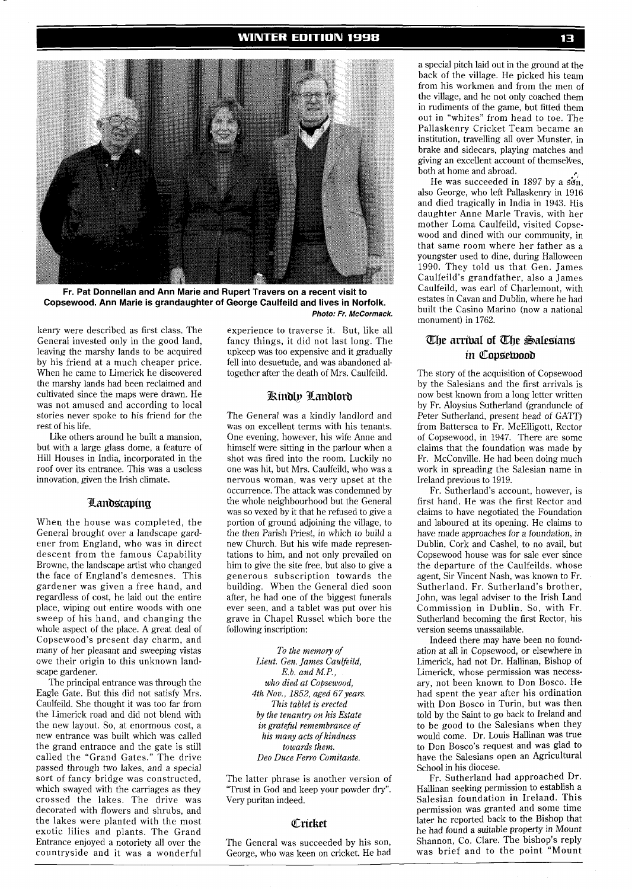

**Fr. Pat Donnellan and Ann Marie and Rupert Travers on a recent visit to Copsewood. Ann Marie is grandaughter of George Caulfeild and lives in Norfolk. Photo: Fr. McCormack.** 

kenry were described as first class. The General invested only in the good land, leaving the marshy lands to be acquired by his friend at a much cheaper price. When he came to Limerick he discovered the marshy lands had been reclaimed and cultivated since the maps were drawn. He was not amused and according to local stories never spoke to his friend for the rest of his life.

Like others around he built a mansion, but with a large glass dome, a feature of Hill Houses in India, incorporated in the roof over its entrance. This was a useless innovation, given the Irish climate.

## Landscaping

When the house was completed, the General brought over a landscape gardener from England, who was in direct descent from the famous Capability Browne, the landscape artist who changed the face of England's demesnes. This gardener was given a free hand, and regardless of cost, he laid out the entire place, wiping out entire woods with one sweep of his hand, and changing the whole aspect of the place. A great deal of Copsewood's present day charm, and many of her pleasant and sweeping vistas owe their origin to this unknown landscape gardener.

The principal entrance was through the Eagle Gate. But this did not satisfy Mrs. Caulfeild. She thought it was too far from the Limerick road and did not blend with the new layout. So, at enormous cost, a new entrance was built which was called the grand entrance and the gate is still called the "Grand Gates." The drive passed through two lakes, and a special sort of fancy bridge was constructed, which swayed with the carriages as they crossed the lakes. The drive was decorated with flowers and shrubs, and the lakes were planted with the most exotic lilies and plants. The Grand Entrance enjoyed a notoriety all over the countryside and it was a wonderful

experience to traverse it. But, like all fancy things, it did not last long. The upkeep was too expensive and it gradually fell into desuetude, and was abandoned altogether after the death of Mrs. Caulfeild.

## Kindly Landlord

The General was a kindly landlord and was on excellent terms with his tenants. One evening, however, his wife Anne and himself were sitting in the parlour when a shot was fired into the room. Luckily no one was hit, but Mrs. Caulfeild, who was a nervous woman, was very upset at the occurrence. The attack was condemned by the whole neighbourhood but the General was so vexed by it that he refused to give a portion of ground adjoining the village, to the then Parish Priest, in which to build a new Church. But his wife made representations to him, and not only prevailed on him to give the site free, but also to give a generous subscription towards the building. When the General died soon after, he had one of the biggest funerals ever seen, and a tablet was put over his grave in Chapel Russel which bore the following inscription:

> *To the memory of Lieut. Gen. James Caulfeild, E. b. and M.P., who died at Copsewood, 4th Nov., 1852, aged* 67 *years. This tablet is erected by the tenantry on his Estate in grateful remembrance of his many acts of kindness towards them. Deo Duce Ferro Comitante.*

The latter phrase is another version of "Trust in God and keep your powder dry". Very puritan indeed.

#### Cricket

The General was succeeded by his son, George, who was keen on cricket. He had

a special pitch laid out in the ground at the back of the village. He picked his team from his workmen and from the men of the village, and he not only coached them in rudiments of the game, but fitted them out in "whites" from head to toe. The Pallaskenry Cricket Team became an institution, travelling all over Munster, in brake and sidecars, playing matches and giving an excellent account of themsekes, both at home and abroad. **<sup>E</sup>**

He was succeeded in 1897 by a  $s\ddot{\sigma}$ n, also George, who left Pallaskenry in 1916 and died tragically in India in 1943. His daughter Anne Marle Travis, with her mother Loma Caulfeild, visited Copsewood and dined with our community, in that same room where her father as a youngster used to dine, during Halloween 1990. They told us that Gen. James Caulfeild's grandfather, also a James Caulfeild, was earl of Charlemont, with estates in Cavan and Dublin, where he had built the Casino Marino (now a national monument) in 1762.

# The arrival of The Salesians in Copsetvood

The story of the acquisition of Copsewood by the Salesians and the first arrivals is now best known from a long letter written by Fr. Aloysius Sutherland (granduncle of Peter Sutherland, present head of GATT) from Battersea to Fr. McElligott, Rector of Copsewood, in 1947. There are some claims that the foundation was made by Fr. McConville. He had been doing much work in spreading the Salesian name in Ireland previous to 1919.

Fr. Sutherland's account, however, is first hand. He was the first Rector and claims to have negotiated the Foundation and laboured at its opening. He claims to have made approaches for a foundation, in Dublin, Cork and Cashel, to no avail, but Copsewood house was for sale ever since the departure of the Caulfeilds. whose agent, Sir Vincent Nash, was known to Fr. Sutherland. Fr. Sutherland's brother, John, was legal adviser to the Irish Land Commission in Dublin. So, with Fr. Sutherland becoming the first Rector, his version seems unassailable.

Indeed there may have been no foundation at all in Copsewood, or elsewhere in Limerick, had not Dr. Hallinan, Bishop of Limerick, whose permission was necessary, not been known to Don Bosco. He had spent the year after his ordination with Don Bosco in Turin, but was then told by the Saint to go back to Ireland and to be good to the Salesians when they would come. Dr. Louis Hallinan was true to Don Bosco's request and was glad to have the Salesians open an Agricultural School in his diocese.

Fr. Sutherland had approached Dr. Hallinan seeking permission to establish a Salesian foundation in Ireland. This permission was granted and some time later he reported back to the Bishop that he had found a suitable property in Mount Shannon, Co. Clare. The bishop's reply was brief and to the point "Mount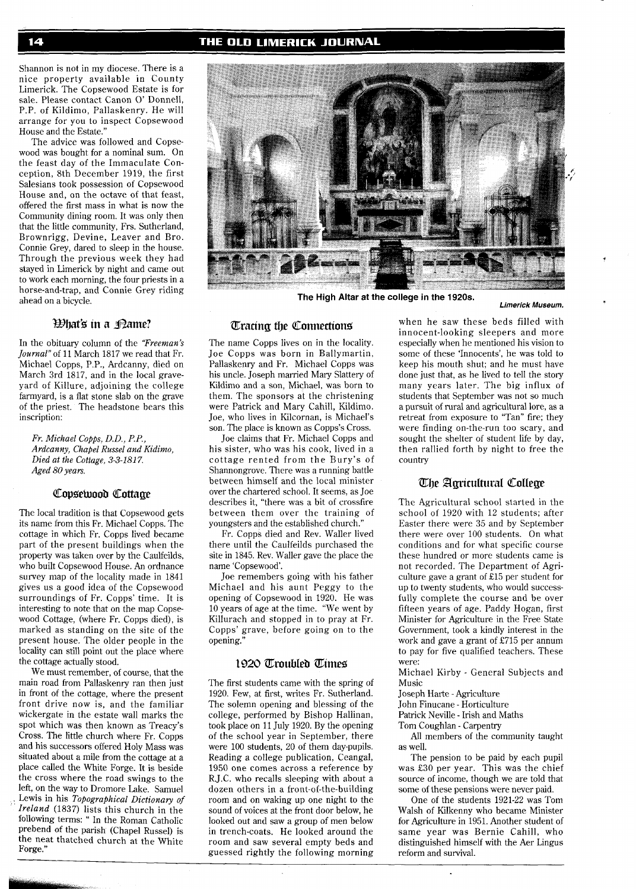Shannon is not in my diocese. There is a nice property available in County Limerick. The Copsewood Estate is for sale. Please contact Canon 0' Donnell, P.P. of Kildimo, Pallaskenry. He will arrange for you to inspect Copsewood House and the Estate."

The advice was followed and Copsewood was bought for a nominal sum. On the feast day of the Immaculate Conception, 8th December 1919, the first Salesians took possession of Copsewood House and, on the octave of that feast, offered the first mass in what is now the Community dining room. It was only then that the little community, Frs. Sutherland, Brownrigg, Devine, Leaver and Bro. Connie Grey, dared to sleep in the house. Through the previous week they had stayed in Limerick by night and came out to work each morning, the four priests in a horse-and-trap, and Connie Grey riding ahead on a bicycle.

## What's in a <sub>Dame?</sub>

In the obituary column of the *'Freeman's Journal"* of 11 March 1817 we read that Fr. Michael Copps, P.P., Ardcanny, died on March 3rd 1817, and in the local graveyard of Killure, adjoining the college farmyard, is a flat stone slab on the grave of the priest. The headstone bears this inscription:

*Fr. Michael Copps, D.D., P.P., Ardcanny, Chapel Russel and Kidimo, Died at the Cottage, 3-3-181 7. Aged 80 years.* 

## Copsetyood Cottage

The local tradition is that Copsewood gets its name from this Fr. Michael Copps. The cottage in which Fr. Copps lived became part of the present buildings when the property was taken over by the Caulfeilds, who built Copsewood House. An ordnance survey map of the locality made in 1841 gives us a good idea of the Copsewood surroundings of Fr. Copps' time. It is interesting to note that on the map Copsewood Cottage, (where Fr. Copps died), is marked as standing on the site of the present house. The older people in the locality can still point out the place where the cottage actually stood.

We must remember, of course, that the main road from Pallaskenry ran then just in front of the cottage, where the present front drive now is, and the familiar wickergate in the estate wall marks the spot which was then known as Treacy's Cross. The little church where Fr. Copps and his successors offered Holy Mass was situated about a mile from the cottage at a place called the White Forge. It is beside the cross where the road swings to the left, on the way to Dromore Lake. Samuel Lewis in his *Topographical Dictionary of Ireland* (1837) lists this church in the following terms: " In the Roman Catholic prebend of the parish (Chapel Russel) is the neat thatched church at the White Forge."



**The High Altar at the college in the 1920s.** 

#### **Limerick Museum.**

## **Tracing the Connections**

The name Copps lives on in the locality. Joe Copps was born in Ballymartin, Pallaskenry and Fr. Michael Copps was his uncle. Joseph married Mary Slattery of Kildimo and a son, Michael, was born to them. The sponsors at the christening were Patrick and Mary Cahill, Kildimo. Joe, who lives in Kilcornan, is Michael's son. The place is known as Copps's Cross.

Joe claims that Fr. Michael Copps and his sister, who was his cook, lived in a cottage rented from the Bury's of Shannongrove. There was a running battle between himself and the local minister over the chartered school. It seems, as Joe describes it, "there was a bit of crossfire between them over the training of youngsters and the established church."

Fr. Copps died and Rev. Waller lived there until the Caulfeilds purchased the site in 1845. Rev. Waller gave the place the name 'Copsewood'.

Joe remembers going with his father Michael and his aunt Peggy to the opening of Copsewood in 1920. He was 10 years of age at the time. "We went by Killurach and stopped in to pray at Fr. Copps' grave, before going on to the opening."

#### 1920 Troubled Times

The first students came with the spring of 1920. Few, at first, writes Fr. Sutherland. The solemn opening and blessing of the college, performed by Bishop Hallinan, took place on 11 July 1920. By the opening of the school year in September, there were 100 students, 20 of them day-pupils. Reading a college publication, Ceangal, 1950 one comes across a reference by R.J.C. who recalls sleeping with about a dozen others in a front-of-the-building room and on waking up one night to the sound of voices at the front door below, he looked out and saw a group of men below in trench-coats. He looked around the room and saw several empty beds and guessed rightly the following morning

when he saw these beds filled with innocent-looking sleepers and more especially when he mentioned his vision to some of these 'Innocents', he was told to keep his mouth shut; and he must have done just that, as he lived to tell the story many years later. The big influx of students that September was not so much a pursuit of rural and agricultural lore, as a retreat from exposure to "Tan" fire; they were finding on-the-run too scary, and sought the shelter of student life by day, then rallied forth by night to free the country

## The Agricultural College

The Agricultural school started in the school of 1920 with 12 students; after Easter there were 35 and by September there were over 100 students. On what conditions and for what specific course these hundred or more students came is not recorded. The Department of Agriculture gave a grant of £15 per student for up to twenty students, who would successfully complete the course and be over fifteen years of age. Paddy Hogan, first Minister for Agriculture in the Free State Government, took a kindly interest in the work and gave a grant of £715 per annum to pay for five qualified teachers. These were:

Michael Kirby - General Subjects and Music

Joseph Harte - Agriculture

John Finucane - Horticulture

Patrick Neville - Irish and Maths

Tom Coughlan - Carpentry

All members of the community taught as well.

The pension to be paid by each pupil was £30 per year. This was the chief source of income, though we are told that some of these pensions were never paid.

One of the students 1921-22 was Tom Walsh of Kilkenny who became Minister for Agriculture in 1951. Another student of same year was Bernie Cahill, who distinguished himself with the Aer Lingus reform and survival.